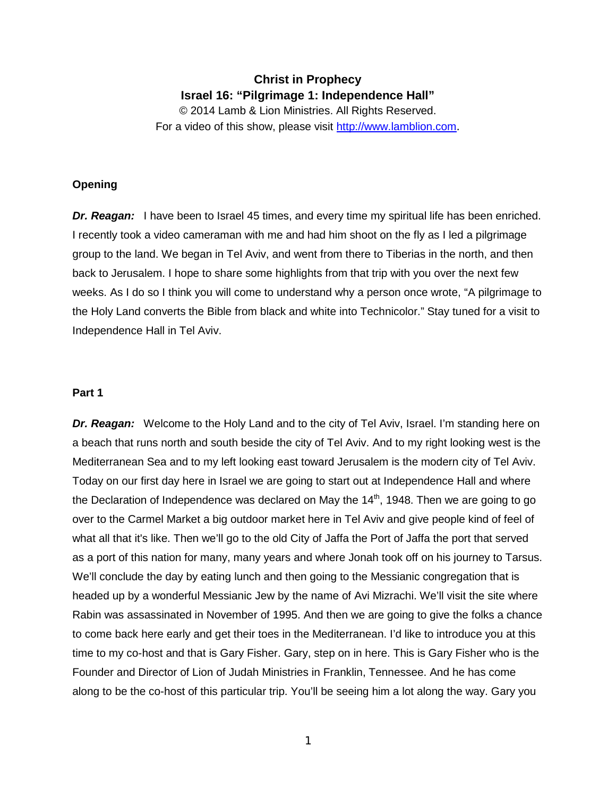# **Christ in Prophecy Israel 16: "Pilgrimage 1: Independence Hall"**

© 2014 Lamb & Lion Ministries. All Rights Reserved. For a video of this show, please visit [http://www.lamblion.com.](http://www.lamblion.com/)

# **Opening**

**Dr. Reagan:** I have been to Israel 45 times, and every time my spiritual life has been enriched. I recently took a video cameraman with me and had him shoot on the fly as I led a pilgrimage group to the land. We began in Tel Aviv, and went from there to Tiberias in the north, and then back to Jerusalem. I hope to share some highlights from that trip with you over the next few weeks. As I do so I think you will come to understand why a person once wrote, "A pilgrimage to the Holy Land converts the Bible from black and white into Technicolor." Stay tuned for a visit to Independence Hall in Tel Aviv.

## **Part 1**

**Dr. Reagan:** Welcome to the Holy Land and to the city of Tel Aviv, Israel. I'm standing here on a beach that runs north and south beside the city of Tel Aviv. And to my right looking west is the Mediterranean Sea and to my left looking east toward Jerusalem is the modern city of Tel Aviv. Today on our first day here in Israel we are going to start out at Independence Hall and where the Declaration of Independence was declared on May the  $14<sup>th</sup>$ , 1948. Then we are going to go over to the Carmel Market a big outdoor market here in Tel Aviv and give people kind of feel of what all that it's like. Then we'll go to the old City of Jaffa the Port of Jaffa the port that served as a port of this nation for many, many years and where Jonah took off on his journey to Tarsus. We'll conclude the day by eating lunch and then going to the Messianic congregation that is headed up by a wonderful Messianic Jew by the name of Avi Mizrachi. We'll visit the site where Rabin was assassinated in November of 1995. And then we are going to give the folks a chance to come back here early and get their toes in the Mediterranean. I'd like to introduce you at this time to my co-host and that is Gary Fisher. Gary, step on in here. This is Gary Fisher who is the Founder and Director of Lion of Judah Ministries in Franklin, Tennessee. And he has come along to be the co-host of this particular trip. You'll be seeing him a lot along the way. Gary you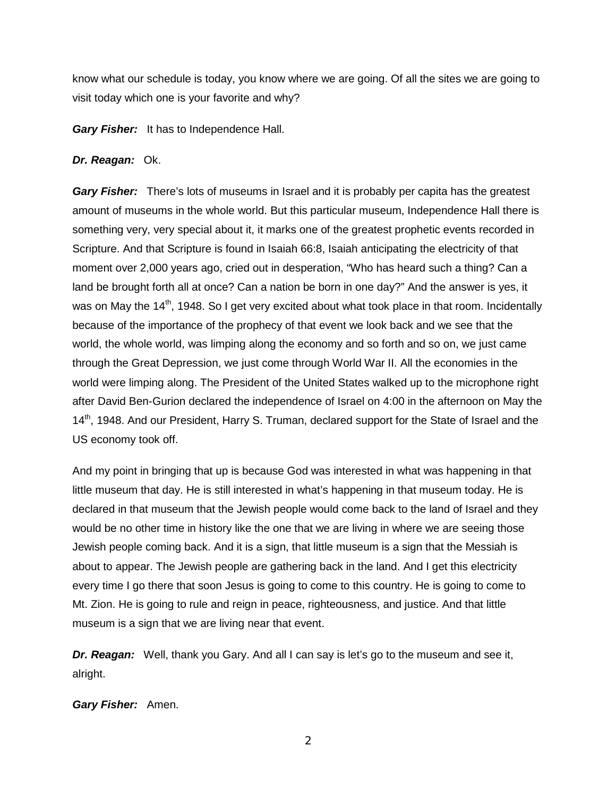know what our schedule is today, you know where we are going. Of all the sites we are going to visit today which one is your favorite and why?

*Gary Fisher:* It has to Independence Hall.

# Dr. Reagan: Ok.

*Gary Fisher:* There's lots of museums in Israel and it is probably per capita has the greatest amount of museums in the whole world. But this particular museum, Independence Hall there is something very, very special about it, it marks one of the greatest prophetic events recorded in Scripture. And that Scripture is found in Isaiah 66:8, Isaiah anticipating the electricity of that moment over 2,000 years ago, cried out in desperation, "Who has heard such a thing? Can a land be brought forth all at once? Can a nation be born in one day?" And the answer is yes, it was on May the  $14<sup>th</sup>$ , 1948. So I get very excited about what took place in that room. Incidentally because of the importance of the prophecy of that event we look back and we see that the world, the whole world, was limping along the economy and so forth and so on, we just came through the Great Depression, we just come through World War II. All the economies in the world were limping along. The President of the United States walked up to the microphone right after David Ben-Gurion declared the independence of Israel on 4:00 in the afternoon on May the 14<sup>th</sup>, 1948. And our President, Harry S. Truman, declared support for the State of Israel and the US economy took off.

And my point in bringing that up is because God was interested in what was happening in that little museum that day. He is still interested in what's happening in that museum today. He is declared in that museum that the Jewish people would come back to the land of Israel and they would be no other time in history like the one that we are living in where we are seeing those Jewish people coming back. And it is a sign, that little museum is a sign that the Messiah is about to appear. The Jewish people are gathering back in the land. And I get this electricity every time I go there that soon Jesus is going to come to this country. He is going to come to Mt. Zion. He is going to rule and reign in peace, righteousness, and justice. And that little museum is a sign that we are living near that event.

*Dr. Reagan:* Well, thank you Gary. And all I can say is let's go to the museum and see it, alright.

## *Gary Fisher:* Amen.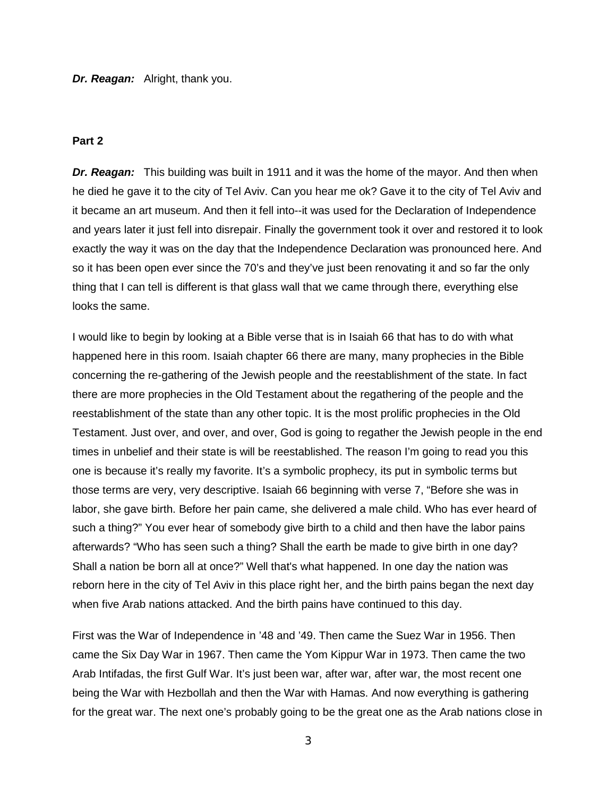*Dr. Reagan:* Alright, thank you.

## **Part 2**

*Dr. Reagan:* This building was built in 1911 and it was the home of the mayor. And then when he died he gave it to the city of Tel Aviv. Can you hear me ok? Gave it to the city of Tel Aviv and it became an art museum. And then it fell into--it was used for the Declaration of Independence and years later it just fell into disrepair. Finally the government took it over and restored it to look exactly the way it was on the day that the Independence Declaration was pronounced here. And so it has been open ever since the 70's and they've just been renovating it and so far the only thing that I can tell is different is that glass wall that we came through there, everything else looks the same.

I would like to begin by looking at a Bible verse that is in Isaiah 66 that has to do with what happened here in this room. Isaiah chapter 66 there are many, many prophecies in the Bible concerning the re-gathering of the Jewish people and the reestablishment of the state. In fact there are more prophecies in the Old Testament about the regathering of the people and the reestablishment of the state than any other topic. It is the most prolific prophecies in the Old Testament. Just over, and over, and over, God is going to regather the Jewish people in the end times in unbelief and their state is will be reestablished. The reason I'm going to read you this one is because it's really my favorite. It's a symbolic prophecy, its put in symbolic terms but those terms are very, very descriptive. Isaiah 66 beginning with verse 7, "Before she was in labor, she gave birth. Before her pain came, she delivered a male child. Who has ever heard of such a thing?" You ever hear of somebody give birth to a child and then have the labor pains afterwards? "Who has seen such a thing? Shall the earth be made to give birth in one day? Shall a nation be born all at once?" Well that's what happened. In one day the nation was reborn here in the city of Tel Aviv in this place right her, and the birth pains began the next day when five Arab nations attacked. And the birth pains have continued to this day.

First was the War of Independence in '48 and '49. Then came the Suez War in 1956. Then came the Six Day War in 1967. Then came the Yom Kippur War in 1973. Then came the two Arab Intifadas, the first Gulf War. It's just been war, after war, after war, the most recent one being the War with Hezbollah and then the War with Hamas. And now everything is gathering for the great war. The next one's probably going to be the great one as the Arab nations close in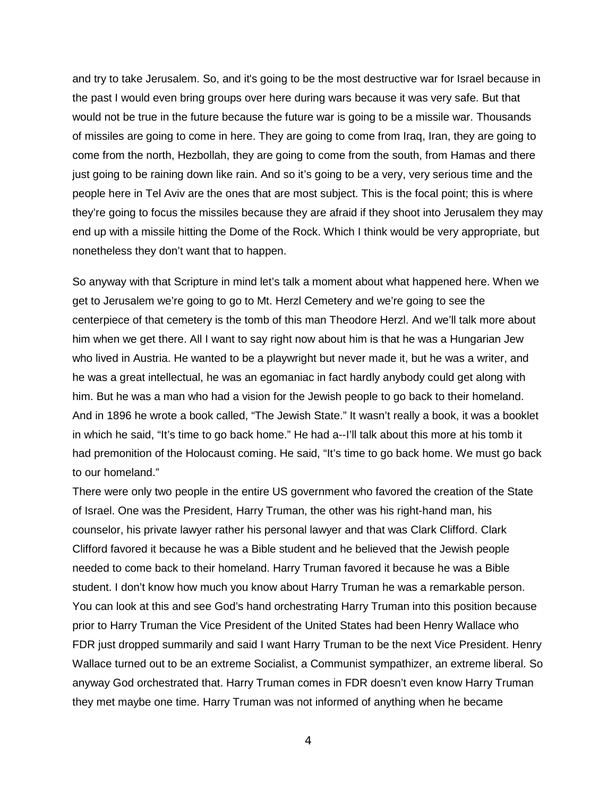and try to take Jerusalem. So, and it's going to be the most destructive war for Israel because in the past I would even bring groups over here during wars because it was very safe. But that would not be true in the future because the future war is going to be a missile war. Thousands of missiles are going to come in here. They are going to come from Iraq, Iran, they are going to come from the north, Hezbollah, they are going to come from the south, from Hamas and there just going to be raining down like rain. And so it's going to be a very, very serious time and the people here in Tel Aviv are the ones that are most subject. This is the focal point; this is where they're going to focus the missiles because they are afraid if they shoot into Jerusalem they may end up with a missile hitting the Dome of the Rock. Which I think would be very appropriate, but nonetheless they don't want that to happen.

So anyway with that Scripture in mind let's talk a moment about what happened here. When we get to Jerusalem we're going to go to Mt. Herzl Cemetery and we're going to see the centerpiece of that cemetery is the tomb of this man Theodore Herzl. And we'll talk more about him when we get there. All I want to say right now about him is that he was a Hungarian Jew who lived in Austria. He wanted to be a playwright but never made it, but he was a writer, and he was a great intellectual, he was an egomaniac in fact hardly anybody could get along with him. But he was a man who had a vision for the Jewish people to go back to their homeland. And in 1896 he wrote a book called, "The Jewish State." It wasn't really a book, it was a booklet in which he said, "It's time to go back home." He had a--I'll talk about this more at his tomb it had premonition of the Holocaust coming. He said, "It's time to go back home. We must go back to our homeland."

There were only two people in the entire US government who favored the creation of the State of Israel. One was the President, Harry Truman, the other was his right-hand man, his counselor, his private lawyer rather his personal lawyer and that was Clark Clifford. Clark Clifford favored it because he was a Bible student and he believed that the Jewish people needed to come back to their homeland. Harry Truman favored it because he was a Bible student. I don't know how much you know about Harry Truman he was a remarkable person. You can look at this and see God's hand orchestrating Harry Truman into this position because prior to Harry Truman the Vice President of the United States had been Henry Wallace who FDR just dropped summarily and said I want Harry Truman to be the next Vice President. Henry Wallace turned out to be an extreme Socialist, a Communist sympathizer, an extreme liberal. So anyway God orchestrated that. Harry Truman comes in FDR doesn't even know Harry Truman they met maybe one time. Harry Truman was not informed of anything when he became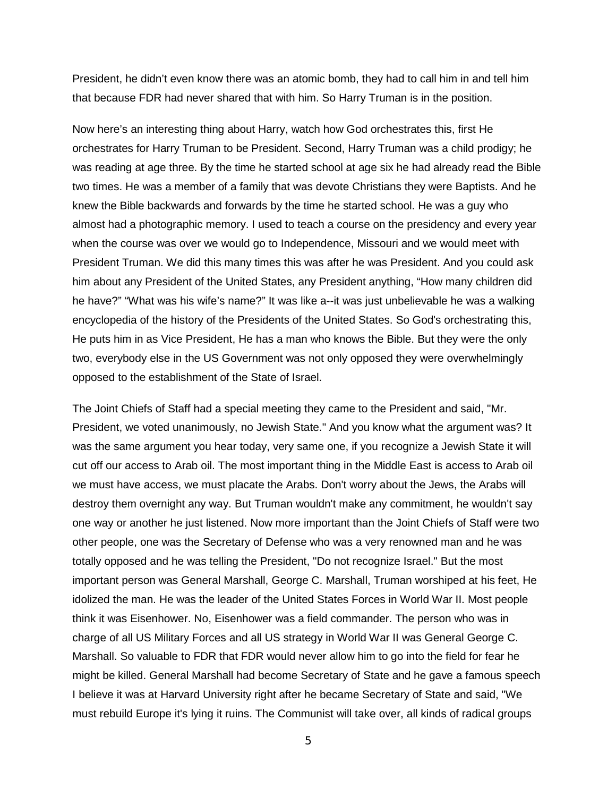President, he didn't even know there was an atomic bomb, they had to call him in and tell him that because FDR had never shared that with him. So Harry Truman is in the position.

Now here's an interesting thing about Harry, watch how God orchestrates this, first He orchestrates for Harry Truman to be President. Second, Harry Truman was a child prodigy; he was reading at age three. By the time he started school at age six he had already read the Bible two times. He was a member of a family that was devote Christians they were Baptists. And he knew the Bible backwards and forwards by the time he started school. He was a guy who almost had a photographic memory. I used to teach a course on the presidency and every year when the course was over we would go to Independence, Missouri and we would meet with President Truman. We did this many times this was after he was President. And you could ask him about any President of the United States, any President anything, "How many children did he have?" "What was his wife's name?" It was like a--it was just unbelievable he was a walking encyclopedia of the history of the Presidents of the United States. So God's orchestrating this, He puts him in as Vice President, He has a man who knows the Bible. But they were the only two, everybody else in the US Government was not only opposed they were overwhelmingly opposed to the establishment of the State of Israel.

The Joint Chiefs of Staff had a special meeting they came to the President and said, "Mr. President, we voted unanimously, no Jewish State." And you know what the argument was? It was the same argument you hear today, very same one, if you recognize a Jewish State it will cut off our access to Arab oil. The most important thing in the Middle East is access to Arab oil we must have access, we must placate the Arabs. Don't worry about the Jews, the Arabs will destroy them overnight any way. But Truman wouldn't make any commitment, he wouldn't say one way or another he just listened. Now more important than the Joint Chiefs of Staff were two other people, one was the Secretary of Defense who was a very renowned man and he was totally opposed and he was telling the President, "Do not recognize Israel." But the most important person was General Marshall, George C. Marshall, Truman worshiped at his feet, He idolized the man. He was the leader of the United States Forces in World War II. Most people think it was Eisenhower. No, Eisenhower was a field commander. The person who was in charge of all US Military Forces and all US strategy in World War II was General George C. Marshall. So valuable to FDR that FDR would never allow him to go into the field for fear he might be killed. General Marshall had become Secretary of State and he gave a famous speech I believe it was at Harvard University right after he became Secretary of State and said, "We must rebuild Europe it's lying it ruins. The Communist will take over, all kinds of radical groups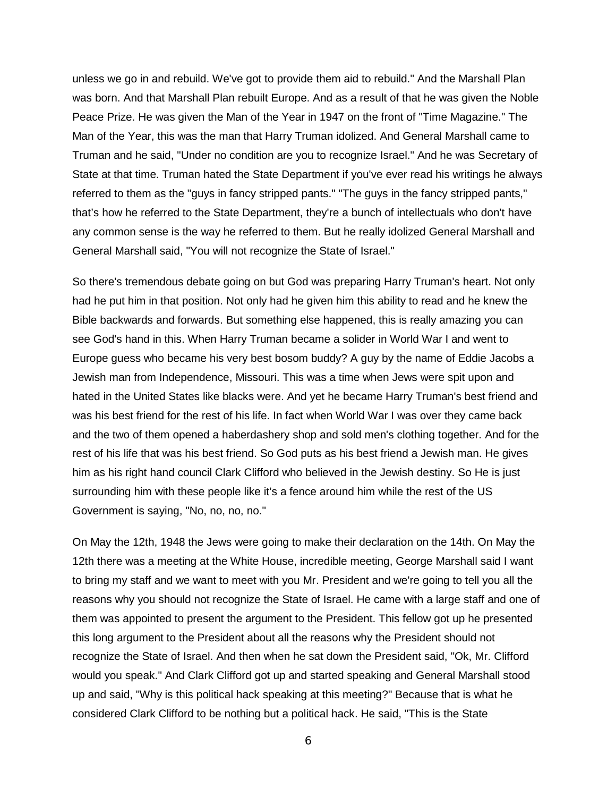unless we go in and rebuild. We've got to provide them aid to rebuild." And the Marshall Plan was born. And that Marshall Plan rebuilt Europe. And as a result of that he was given the Noble Peace Prize. He was given the Man of the Year in 1947 on the front of "Time Magazine." The Man of the Year, this was the man that Harry Truman idolized. And General Marshall came to Truman and he said, "Under no condition are you to recognize Israel." And he was Secretary of State at that time. Truman hated the State Department if you've ever read his writings he always referred to them as the "guys in fancy stripped pants." "The guys in the fancy stripped pants," that's how he referred to the State Department, they're a bunch of intellectuals who don't have any common sense is the way he referred to them. But he really idolized General Marshall and General Marshall said, "You will not recognize the State of Israel."

So there's tremendous debate going on but God was preparing Harry Truman's heart. Not only had he put him in that position. Not only had he given him this ability to read and he knew the Bible backwards and forwards. But something else happened, this is really amazing you can see God's hand in this. When Harry Truman became a solider in World War I and went to Europe guess who became his very best bosom buddy? A guy by the name of Eddie Jacobs a Jewish man from Independence, Missouri. This was a time when Jews were spit upon and hated in the United States like blacks were. And yet he became Harry Truman's best friend and was his best friend for the rest of his life. In fact when World War I was over they came back and the two of them opened a haberdashery shop and sold men's clothing together. And for the rest of his life that was his best friend. So God puts as his best friend a Jewish man. He gives him as his right hand council Clark Clifford who believed in the Jewish destiny. So He is just surrounding him with these people like it's a fence around him while the rest of the US Government is saying, "No, no, no, no."

On May the 12th, 1948 the Jews were going to make their declaration on the 14th. On May the 12th there was a meeting at the White House, incredible meeting, George Marshall said I want to bring my staff and we want to meet with you Mr. President and we're going to tell you all the reasons why you should not recognize the State of Israel. He came with a large staff and one of them was appointed to present the argument to the President. This fellow got up he presented this long argument to the President about all the reasons why the President should not recognize the State of Israel. And then when he sat down the President said, "Ok, Mr. Clifford would you speak." And Clark Clifford got up and started speaking and General Marshall stood up and said, "Why is this political hack speaking at this meeting?" Because that is what he considered Clark Clifford to be nothing but a political hack. He said, "This is the State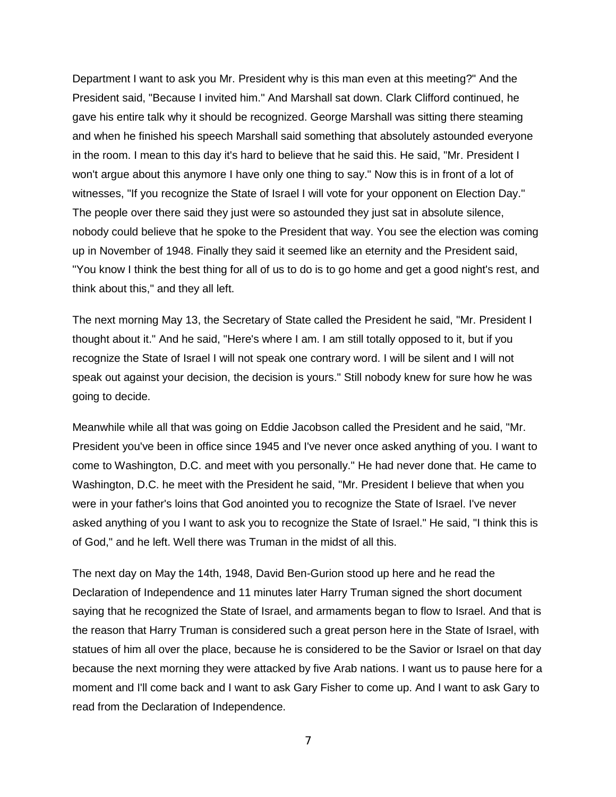Department I want to ask you Mr. President why is this man even at this meeting?" And the President said, "Because I invited him." And Marshall sat down. Clark Clifford continued, he gave his entire talk why it should be recognized. George Marshall was sitting there steaming and when he finished his speech Marshall said something that absolutely astounded everyone in the room. I mean to this day it's hard to believe that he said this. He said, "Mr. President I won't argue about this anymore I have only one thing to say." Now this is in front of a lot of witnesses, "If you recognize the State of Israel I will vote for your opponent on Election Day." The people over there said they just were so astounded they just sat in absolute silence, nobody could believe that he spoke to the President that way. You see the election was coming up in November of 1948. Finally they said it seemed like an eternity and the President said, "You know I think the best thing for all of us to do is to go home and get a good night's rest, and think about this," and they all left.

The next morning May 13, the Secretary of State called the President he said, "Mr. President I thought about it." And he said, "Here's where I am. I am still totally opposed to it, but if you recognize the State of Israel I will not speak one contrary word. I will be silent and I will not speak out against your decision, the decision is yours." Still nobody knew for sure how he was going to decide.

Meanwhile while all that was going on Eddie Jacobson called the President and he said, "Mr. President you've been in office since 1945 and I've never once asked anything of you. I want to come to Washington, D.C. and meet with you personally." He had never done that. He came to Washington, D.C. he meet with the President he said, "Mr. President I believe that when you were in your father's loins that God anointed you to recognize the State of Israel. I've never asked anything of you I want to ask you to recognize the State of Israel." He said, "I think this is of God," and he left. Well there was Truman in the midst of all this.

The next day on May the 14th, 1948, David Ben-Gurion stood up here and he read the Declaration of Independence and 11 minutes later Harry Truman signed the short document saying that he recognized the State of Israel, and armaments began to flow to Israel. And that is the reason that Harry Truman is considered such a great person here in the State of Israel, with statues of him all over the place, because he is considered to be the Savior or Israel on that day because the next morning they were attacked by five Arab nations. I want us to pause here for a moment and I'll come back and I want to ask Gary Fisher to come up. And I want to ask Gary to read from the Declaration of Independence.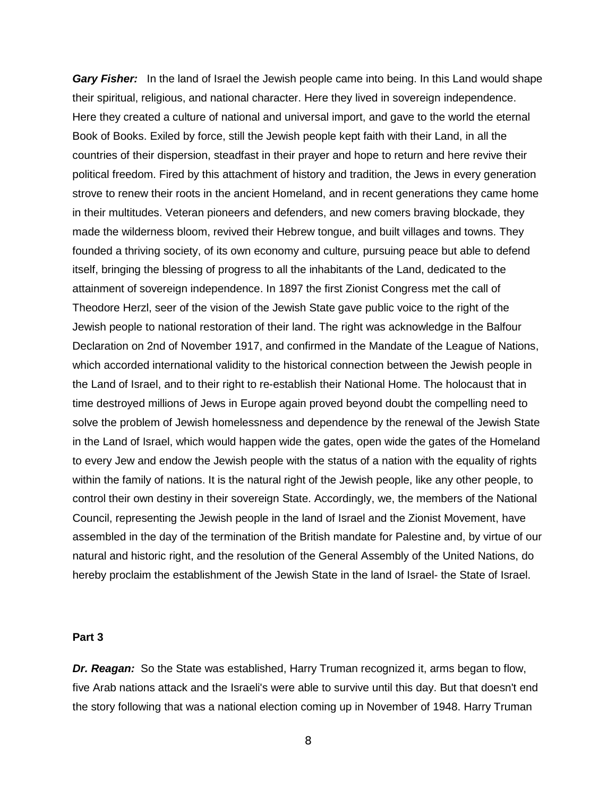*Gary Fisher:* In the land of Israel the Jewish people came into being. In this Land would shape their spiritual, religious, and national character. Here they lived in sovereign independence. Here they created a culture of national and universal import, and gave to the world the eternal Book of Books. Exiled by force, still the Jewish people kept faith with their Land, in all the countries of their dispersion, steadfast in their prayer and hope to return and here revive their political freedom. Fired by this attachment of history and tradition, the Jews in every generation strove to renew their roots in the ancient Homeland, and in recent generations they came home in their multitudes. Veteran pioneers and defenders, and new comers braving blockade, they made the wilderness bloom, revived their Hebrew tongue, and built villages and towns. They founded a thriving society, of its own economy and culture, pursuing peace but able to defend itself, bringing the blessing of progress to all the inhabitants of the Land, dedicated to the attainment of sovereign independence. In 1897 the first Zionist Congress met the call of Theodore Herzl, seer of the vision of the Jewish State gave public voice to the right of the Jewish people to national restoration of their land. The right was acknowledge in the Balfour Declaration on 2nd of November 1917, and confirmed in the Mandate of the League of Nations, which accorded international validity to the historical connection between the Jewish people in the Land of Israel, and to their right to re-establish their National Home. The holocaust that in time destroyed millions of Jews in Europe again proved beyond doubt the compelling need to solve the problem of Jewish homelessness and dependence by the renewal of the Jewish State in the Land of Israel, which would happen wide the gates, open wide the gates of the Homeland to every Jew and endow the Jewish people with the status of a nation with the equality of rights within the family of nations. It is the natural right of the Jewish people, like any other people, to control their own destiny in their sovereign State. Accordingly, we, the members of the National Council, representing the Jewish people in the land of Israel and the Zionist Movement, have assembled in the day of the termination of the British mandate for Palestine and, by virtue of our natural and historic right, and the resolution of the General Assembly of the United Nations, do hereby proclaim the establishment of the Jewish State in the land of Israel- the State of Israel.

## **Part 3**

*Dr. Reagan:* So the State was established, Harry Truman recognized it, arms began to flow, five Arab nations attack and the Israeli's were able to survive until this day. But that doesn't end the story following that was a national election coming up in November of 1948. Harry Truman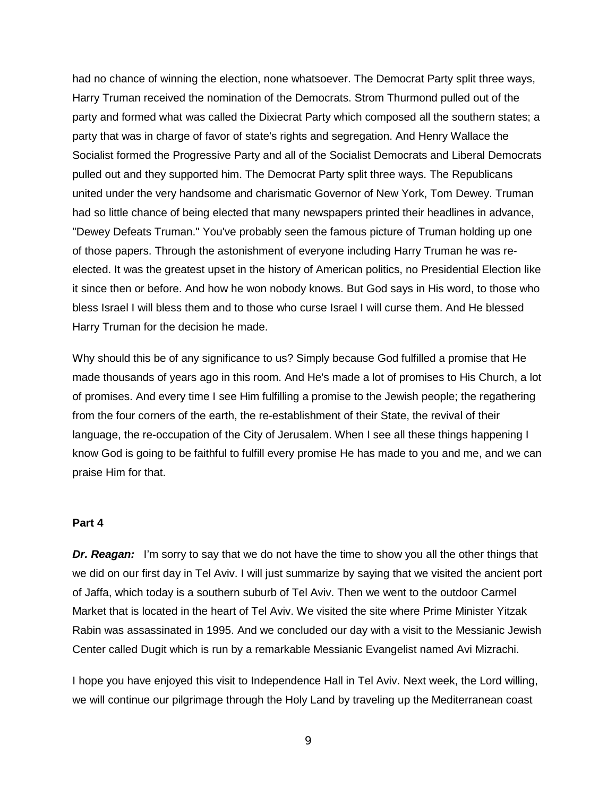had no chance of winning the election, none whatsoever. The Democrat Party split three ways, Harry Truman received the nomination of the Democrats. Strom Thurmond pulled out of the party and formed what was called the Dixiecrat Party which composed all the southern states; a party that was in charge of favor of state's rights and segregation. And Henry Wallace the Socialist formed the Progressive Party and all of the Socialist Democrats and Liberal Democrats pulled out and they supported him. The Democrat Party split three ways. The Republicans united under the very handsome and charismatic Governor of New York, Tom Dewey. Truman had so little chance of being elected that many newspapers printed their headlines in advance, "Dewey Defeats Truman." You've probably seen the famous picture of Truman holding up one of those papers. Through the astonishment of everyone including Harry Truman he was reelected. It was the greatest upset in the history of American politics, no Presidential Election like it since then or before. And how he won nobody knows. But God says in His word, to those who bless Israel I will bless them and to those who curse Israel I will curse them. And He blessed Harry Truman for the decision he made.

Why should this be of any significance to us? Simply because God fulfilled a promise that He made thousands of years ago in this room. And He's made a lot of promises to His Church, a lot of promises. And every time I see Him fulfilling a promise to the Jewish people; the regathering from the four corners of the earth, the re-establishment of their State, the revival of their language, the re-occupation of the City of Jerusalem. When I see all these things happening I know God is going to be faithful to fulfill every promise He has made to you and me, and we can praise Him for that.

### **Part 4**

**Dr. Reagan:** I'm sorry to say that we do not have the time to show you all the other things that we did on our first day in Tel Aviv. I will just summarize by saying that we visited the ancient port of Jaffa, which today is a southern suburb of Tel Aviv. Then we went to the outdoor Carmel Market that is located in the heart of Tel Aviv. We visited the site where Prime Minister Yitzak Rabin was assassinated in 1995. And we concluded our day with a visit to the Messianic Jewish Center called Dugit which is run by a remarkable Messianic Evangelist named Avi Mizrachi.

I hope you have enjoyed this visit to Independence Hall in Tel Aviv. Next week, the Lord willing, we will continue our pilgrimage through the Holy Land by traveling up the Mediterranean coast